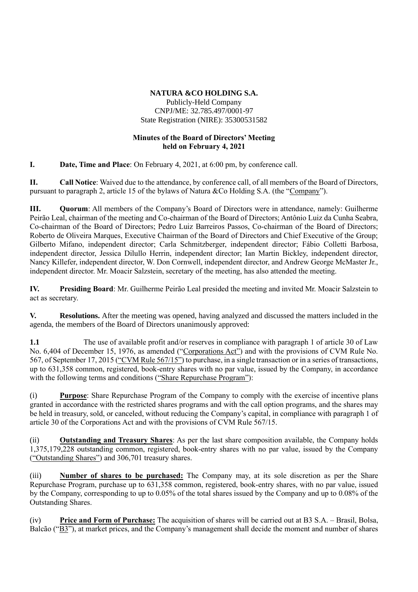## **NATURA &CO HOLDING S.A.** Publicly-Held Company CNPJ/ME: 32.785.497/0001-97 State Registration (NIRE): 35300531582

# **Minutes of the Board of Directors' Meeting held on February 4, 2021**

**I. Date, Time and Place**: On February 4, 2021, at 6:00 pm, by conference call.

**II. Call Notice**: Waived due to the attendance, by conference call, of all members of the Board of Directors, pursuant to paragraph 2, article 15 of the bylaws of Natura &Co Holding S.A. (the "Company").

**III. Quorum**: All members of the Company's Board of Directors were in attendance, namely: Guilherme Peirão Leal, chairman of the meeting and Co-chairman of the Board of Directors; Antônio Luiz da Cunha Seabra, Co-chairman of the Board of Directors; Pedro Luiz Barreiros Passos, Co-chairman of the Board of Directors; Roberto de Oliveira Marques, Executive Chairman of the Board of Directors and Chief Executive of the Group; Gilberto Mifano, independent director; Carla Schmitzberger, independent director; Fábio Colletti Barbosa, independent director, Jessica Dilullo Herrin, independent director; Ian Martin Bickley, independent director, Nancy Killefer, independent director, W. Don Cornwell, independent director, and Andrew George McMaster Jr., independent director. Mr. Moacir Salzstein, secretary of the meeting, has also attended the meeting.

**IV. Presiding Board**: Mr. Guilherme Peirão Leal presided the meeting and invited Mr. Moacir Salzstein to act as secretary.

**V. Resolutions.** After the meeting was opened, having analyzed and discussed the matters included in the agenda, the members of the Board of Directors unanimously approved:

**1.1** The use of available profit and/or reserves in compliance with paragraph 1 of article 30 of Law No. 6,404 of December 15, 1976, as amended ("Corporations Act") and with the provisions of CVM Rule No. 567, of September 17, 2015 ("CVM Rule 567/15") to purchase, in a single transaction or in a series of transactions, up to 631,358 common, registered, book-entry shares with no par value, issued by the Company, in accordance with the following terms and conditions ("Share Repurchase Program"):

(i) **Purpose**: Share Repurchase Program of the Company to comply with the exercise of incentive plans granted in accordance with the restricted shares programs and with the call option programs, and the shares may be held in treasury, sold, or canceled, without reducing the Company's capital, in compliance with paragraph 1 of article 30 of the Corporations Act and with the provisions of CVM Rule 567/15.

(ii) **Outstanding and Treasury Shares**: As per the last share composition available, the Company holds 1,375,179,228 outstanding common, registered, book-entry shares with no par value, issued by the Company ("Outstanding Shares") and 306,701 treasury shares.

(iii) **Number of shares to be purchased:** The Company may, at its sole discretion as per the Share Repurchase Program, purchase up to 631,358 common, registered, book-entry shares, with no par value, issued by the Company, corresponding to up to 0.05% of the total shares issued by the Company and up to 0.08% of the Outstanding Shares.

(iv) **Price and Form of Purchase:** The acquisition of shares will be carried out at B3 S.A. – Brasil, Bolsa, Balcão ("B3"), at market prices, and the Company's management shall decide the moment and number of shares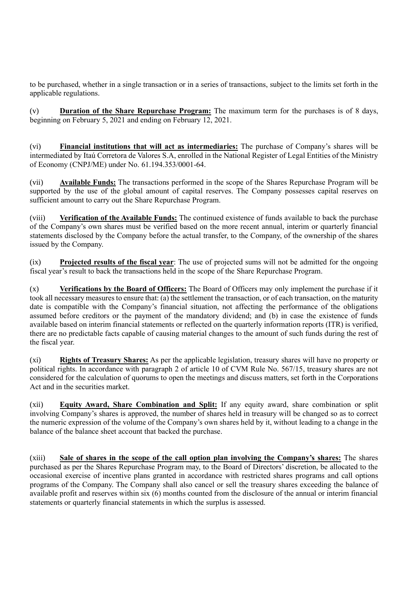to be purchased, whether in a single transaction or in a series of transactions, subject to the limits set forth in the applicable regulations.

(v) **Duration of the Share Repurchase Program:** The maximum term for the purchases is of 8 days, beginning on February 5, 2021 and ending on February 12, 2021.

(vi) **Financial institutions that will act as intermediaries:** The purchase of Company's shares will be intermediated by Itaú Corretora de Valores S.A, enrolled in the National Register of Legal Entities of the Ministry of Economy (CNPJ/ME) under No. 61.194.353/0001-64.

(vii) **Available Funds:** The transactions performed in the scope of the Shares Repurchase Program will be supported by the use of the global amount of capital reserves. The Company possesses capital reserves on sufficient amount to carry out the Share Repurchase Program.

(viii) **Verification of the Available Funds:** The continued existence of funds available to back the purchase of the Company's own shares must be verified based on the more recent annual, interim or quarterly financial statements disclosed by the Company before the actual transfer, to the Company, of the ownership of the shares issued by the Company.

(ix) **Projected results of the fiscal year**: The use of projected sums will not be admitted for the ongoing fiscal year's result to back the transactions held in the scope of the Share Repurchase Program.

(x) **Verifications by the Board of Officers:** The Board of Officers may only implement the purchase if it took all necessary measures to ensure that: (a) the settlement the transaction, or of each transaction, on the maturity date is compatible with the Company's financial situation, not affecting the performance of the obligations assumed before creditors or the payment of the mandatory dividend; and (b) in case the existence of funds available based on interim financial statements or reflected on the quarterly information reports (ITR) is verified, there are no predictable facts capable of causing material changes to the amount of such funds during the rest of the fiscal year.

(xi) **Rights of Treasury Shares:** As per the applicable legislation, treasury shares will have no property or political rights. In accordance with paragraph 2 of article 10 of CVM Rule No. 567/15, treasury shares are not considered for the calculation of quorums to open the meetings and discuss matters, set forth in the Corporations Act and in the securities market.

(xii) **Equity Award, Share Combination and Split:** If any equity award, share combination or split involving Company's shares is approved, the number of shares held in treasury will be changed so as to correct the numeric expression of the volume of the Company's own shares held by it, without leading to a change in the balance of the balance sheet account that backed the purchase.

(xiii) **Sale of shares in the scope of the call option plan involving the Company's shares:** The shares purchased as per the Shares Repurchase Program may, to the Board of Directors' discretion, be allocated to the occasional exercise of incentive plans granted in accordance with restricted shares programs and call options programs of the Company. The Company shall also cancel or sell the treasury shares exceeding the balance of available profit and reserves within six (6) months counted from the disclosure of the annual or interim financial statements or quarterly financial statements in which the surplus is assessed.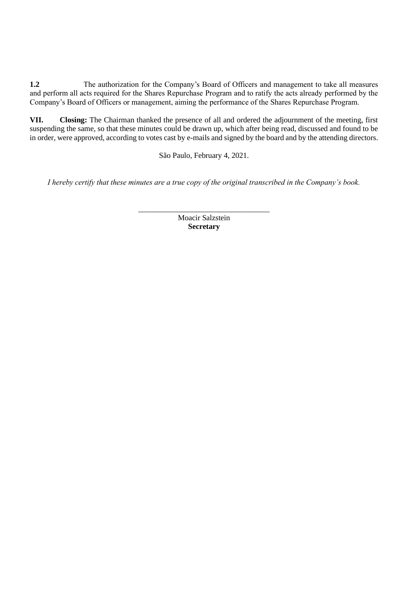**1.2** The authorization for the Company's Board of Officers and management to take all measures and perform all acts required for the Shares Repurchase Program and to ratify the acts already performed by the Company's Board of Officers or management, aiming the performance of the Shares Repurchase Program.

**VII. Closing:** The Chairman thanked the presence of all and ordered the adjournment of the meeting, first suspending the same, so that these minutes could be drawn up, which after being read, discussed and found to be in order, were approved, according to votes cast by e-mails and signed by the board and by the attending directors.

São Paulo, February 4, 2021.

*I hereby certify that these minutes are a true copy of the original transcribed in the Company's book.*

\_\_\_\_\_\_\_\_\_\_\_\_\_\_\_\_\_\_\_\_\_\_\_\_\_\_\_\_\_\_\_\_\_\_ Moacir Salzstein **Secretary**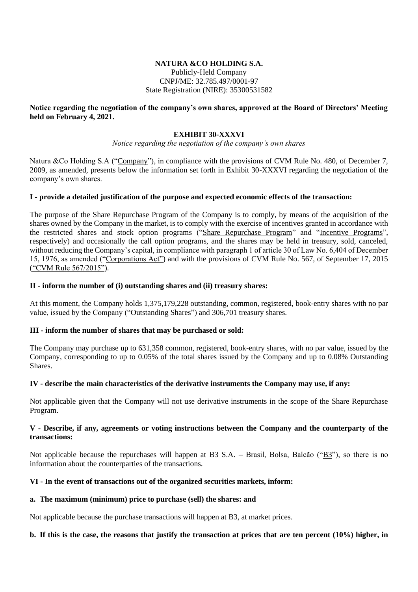## **NATURA &CO HOLDING S.A.** Publicly-Held Company CNPJ/ME: 32.785.497/0001-97 State Registration (NIRE): 35300531582

## **Notice regarding the negotiation of the company's own shares, approved at the Board of Directors' Meeting held on February 4, 2021.**

# **EXHIBIT 30-XXXVI**

*Notice regarding the negotiation of the company's own shares* 

Natura &Co Holding S.A ("Company"), in compliance with the provisions of CVM Rule No. 480, of December 7, 2009, as amended, presents below the information set forth in Exhibit 30-XXXVI regarding the negotiation of the company's own shares.

#### **I - provide a detailed justification of the purpose and expected economic effects of the transaction:**

The purpose of the Share Repurchase Program of the Company is to comply, by means of the acquisition of the shares owned by the Company in the market, is to comply with the exercise of incentives granted in accordance with the restricted shares and stock option programs ("Share Repurchase Program" and "Incentive Programs", respectively) and occasionally the call option programs, and the shares may be held in treasury, sold, canceled, without reducing the Company's capital, in compliance with paragraph 1 of article 30 of Law No. 6,404 of December 15, 1976, as amended ("Corporations Act") and with the provisions of CVM Rule No. 567, of September 17, 2015 ("CVM Rule 567/2015").

#### **II - inform the number of (i) outstanding shares and (ii) treasury shares:**

At this moment, the Company holds 1,375,179,228 outstanding, common, registered, book-entry shares with no par value, issued by the Company ("Outstanding Shares") and 306,701 treasury shares.

#### **III - inform the number of shares that may be purchased or sold:**

The Company may purchase up to 631,358 common, registered, book-entry shares, with no par value, issued by the Company, corresponding to up to 0.05% of the total shares issued by the Company and up to 0.08% Outstanding Shares.

# **IV - describe the main characteristics of the derivative instruments the Company may use, if any:**

Not applicable given that the Company will not use derivative instruments in the scope of the Share Repurchase Program.

## **V - Describe, if any, agreements or voting instructions between the Company and the counterparty of the transactions:**

Not applicable because the repurchases will happen at B3 S.A. – Brasil, Bolsa, Balcão ("B3"), so there is no information about the counterparties of the transactions.

# **VI - In the event of transactions out of the organized securities markets, inform:**

#### **a. The maximum (minimum) price to purchase (sell) the shares: and**

Not applicable because the purchase transactions will happen at B3, at market prices.

#### **b. If this is the case, the reasons that justify the transaction at prices that are ten percent (10%) higher, in**